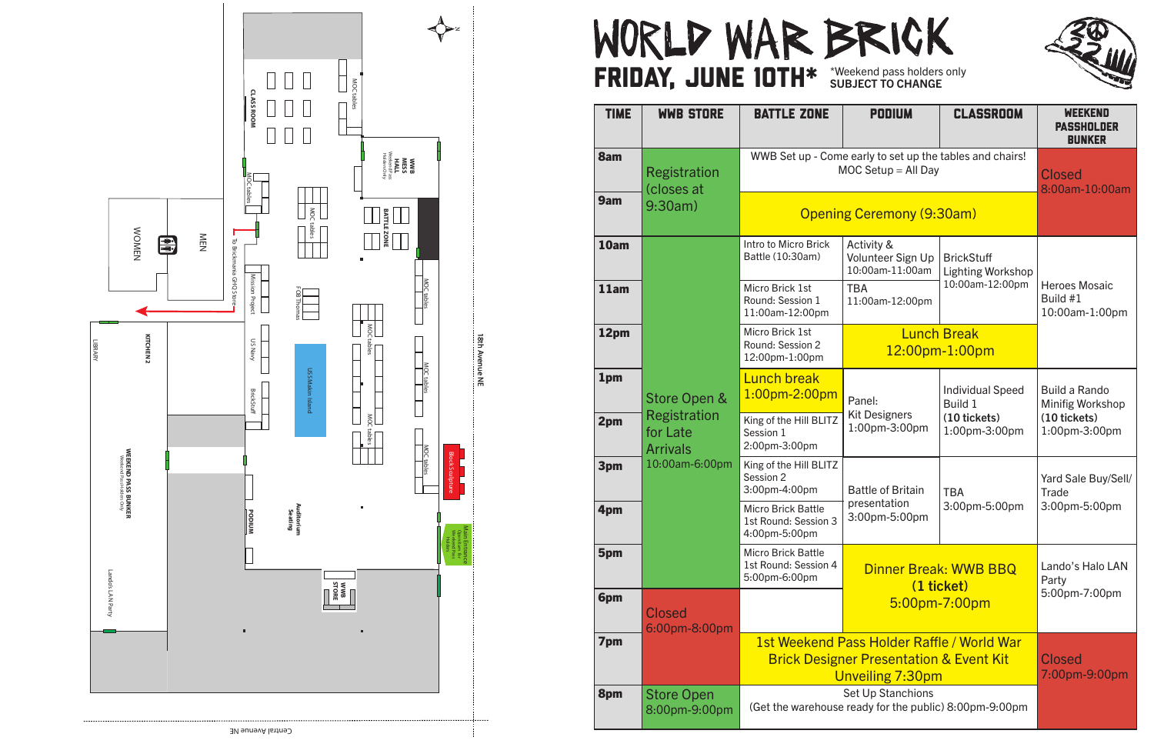





## WORLD WAR BRICK FRIDAY, JUNE 10TH\* \*Weekend pass holders only

| <b>TIME</b> | <b>WWB STORE</b>                                                                     | <b>BATTLE ZONE</b>                                                                | <b>PODIUM</b>                                                                                                        | <b>CLASSROOM</b>                                                           | <b>WEEKEND</b><br><b>PASSHOLDER</b><br><b>BUNKER</b>                             |
|-------------|--------------------------------------------------------------------------------------|-----------------------------------------------------------------------------------|----------------------------------------------------------------------------------------------------------------------|----------------------------------------------------------------------------|----------------------------------------------------------------------------------|
| 8am         | <b>Registration</b><br>closes at                                                     | WWB Set up - Come early to set up the tables and chairs!<br>$MOC$ Setup = All Day |                                                                                                                      |                                                                            | <b>Closed</b><br>8:00am-10:00am                                                  |
| 9am         | 9:30am)                                                                              | <b>Opening Ceremony (9:30am)</b>                                                  |                                                                                                                      |                                                                            |                                                                                  |
| 10am        | Store Open &<br><b>Registration</b><br>for Late<br><b>Arrivals</b><br>10:00am-6:00pm | Intro to Micro Brick<br>Battle (10:30am)                                          | Activity &<br>Volunteer Sign Up<br>10:00am-11:00am                                                                   | <b>BrickStuff</b><br><b>Lighting Workshop</b>                              |                                                                                  |
| 11am        |                                                                                      | Micro Brick 1st<br>Round: Session 1<br>11:00am-12:00pm                            | <b>TBA</b><br>11:00am-12:00pm                                                                                        | 10:00am-12:00pm                                                            | <b>Heroes Mosaic</b><br>Build #1<br>10:00am-1:00pm                               |
| 12pm        |                                                                                      | Micro Brick 1st<br>Round: Session 2<br>12:00pm-1:00pm                             | <b>Lunch Break</b><br>12:00pm-1:00pm                                                                                 |                                                                            |                                                                                  |
| 1pm         |                                                                                      | <b>Lunch break</b><br>1:00pm-2:00pm                                               | Panel:<br><b>Kit Designers</b><br>1:00pm-3:00pm                                                                      | <b>Individual Speed</b><br><b>Build 1</b><br>(10 tickets)<br>1:00pm-3:00pm | <b>Build a Rando</b><br><b>Minifig Workshop</b><br>(10 tickets)<br>1:00pm-3:00pm |
| 2pm         |                                                                                      | King of the Hill BLITZ<br>Session 1<br>2:00pm-3:00pm                              |                                                                                                                      |                                                                            |                                                                                  |
| 3pm         |                                                                                      | King of the Hill BLITZ<br>Session 2<br>3:00pm-4:00pm                              | <b>Battle of Britain</b><br>presentation<br>3:00pm-5:00pm                                                            | <b>TBA</b><br>3:00pm-5:00pm                                                | Yard Sale Buy/Sell/<br>Trade<br>3:00pm-5:00pm                                    |
| 4pm         |                                                                                      | <b>Micro Brick Battle</b><br>1st Round: Session 3<br>4:00pm-5:00pm                |                                                                                                                      |                                                                            |                                                                                  |
| 5pm         |                                                                                      | <b>Micro Brick Battle</b><br>1st Round: Session 4<br>5:00pm-6:00pm                | Dinner Break: WWB BBQ<br>(1 ticket)<br>5:00pm-7:00pm                                                                 |                                                                            | Lando's Halo LAN<br>Party<br>5:00pm-7:00pm                                       |
| 6pm         | <b>Closed</b><br>6:00pm-8:00pm                                                       |                                                                                   |                                                                                                                      |                                                                            |                                                                                  |
| 7pm         |                                                                                      |                                                                                   | 1st Weekend Pass Holder Raffle / World War<br><b>Brick Designer Presentation &amp; Event Kit</b><br>Unveiling 7:30pm | <b>Closed</b><br>7:00pm-9:00pm                                             |                                                                                  |
| 8pm         | <b>Store Open</b><br>8:00pm-9:00pm                                                   | Set Up Stanchions<br>(Get the warehouse ready for the public) 8:00pm-9:00pm       |                                                                                                                      |                                                                            |                                                                                  |